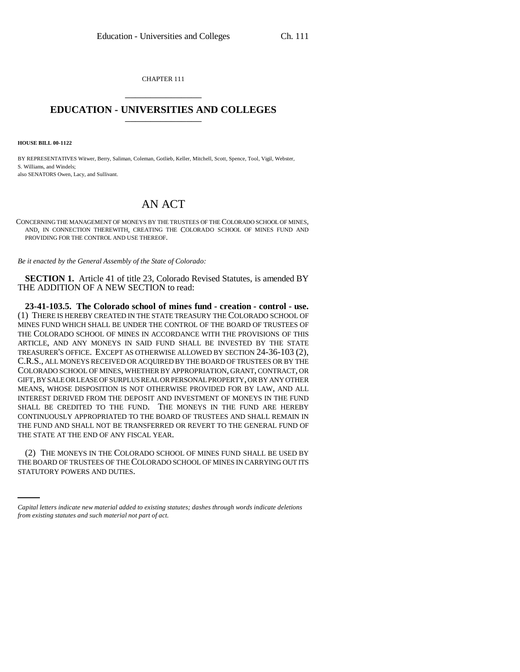CHAPTER 111 \_\_\_\_\_\_\_\_\_\_\_\_\_\_\_

## **EDUCATION - UNIVERSITIES AND COLLEGES** \_\_\_\_\_\_\_\_\_\_\_\_\_\_\_

**HOUSE BILL 00-1122** 

BY REPRESENTATIVES Witwer, Berry, Saliman, Coleman, Gotlieb, Keller, Mitchell, Scott, Spence, Tool, Vigil, Webster, S. Williams, and Windels; also SENATORS Owen, Lacy, and Sullivant.

## AN ACT

CONCERNING THE MANAGEMENT OF MONEYS BY THE TRUSTEES OF THE COLORADO SCHOOL OF MINES, AND, IN CONNECTION THEREWITH, CREATING THE COLORADO SCHOOL OF MINES FUND AND PROVIDING FOR THE CONTROL AND USE THEREOF.

*Be it enacted by the General Assembly of the State of Colorado:*

**SECTION 1.** Article 41 of title 23, Colorado Revised Statutes, is amended BY THE ADDITION OF A NEW SECTION to read:

**23-41-103.5. The Colorado school of mines fund - creation - control - use.** (1) THERE IS HEREBY CREATED IN THE STATE TREASURY THE COLORADO SCHOOL OF MINES FUND WHICH SHALL BE UNDER THE CONTROL OF THE BOARD OF TRUSTEES OF THE COLORADO SCHOOL OF MINES IN ACCORDANCE WITH THE PROVISIONS OF THIS ARTICLE, AND ANY MONEYS IN SAID FUND SHALL BE INVESTED BY THE STATE TREASURER'S OFFICE. EXCEPT AS OTHERWISE ALLOWED BY SECTION 24-36-103 (2), C.R.S., ALL MONEYS RECEIVED OR ACQUIRED BY THE BOARD OF TRUSTEES OR BY THE COLORADO SCHOOL OF MINES, WHETHER BY APPROPRIATION, GRANT, CONTRACT, OR GIFT, BY SALE OR LEASE OF SURPLUS REAL OR PERSONAL PROPERTY, OR BY ANY OTHER MEANS, WHOSE DISPOSITION IS NOT OTHERWISE PROVIDED FOR BY LAW, AND ALL INTEREST DERIVED FROM THE DEPOSIT AND INVESTMENT OF MONEYS IN THE FUND SHALL BE CREDITED TO THE FUND. THE MONEYS IN THE FUND ARE HEREBY CONTINUOUSLY APPROPRIATED TO THE BOARD OF TRUSTEES AND SHALL REMAIN IN THE FUND AND SHALL NOT BE TRANSFERRED OR REVERT TO THE GENERAL FUND OF THE STATE AT THE END OF ANY FISCAL YEAR.

(2) THE MONEYS IN THE COLORADO SCHOOL OF MINES FUND SHALL BE USED BY THE BOARD OF TRUSTEES OF THE COLORADO SCHOOL OF MINES IN CARRYING OUT ITS STATUTORY POWERS AND DUTIES.

*Capital letters indicate new material added to existing statutes; dashes through words indicate deletions from existing statutes and such material not part of act.*